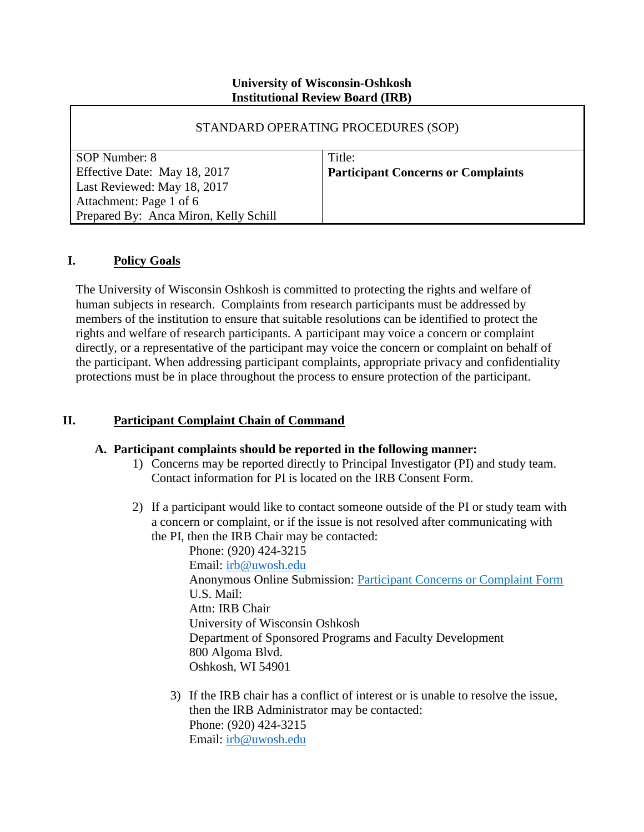### **University of Wisconsin-Oshkosh Institutional Review Board (IRB)**

| STANDARD OPERATING PROCEDURES (SOP)                                       |        |  |  |
|---------------------------------------------------------------------------|--------|--|--|
| SOP Number: 8                                                             | Title: |  |  |
| Effective Date: May 18, 2017<br><b>Participant Concerns or Complaints</b> |        |  |  |
| Last Reviewed: May 18, 2017                                               |        |  |  |
| Attachment: Page 1 of 6                                                   |        |  |  |
| Prepared By: Anca Miron, Kelly Schill                                     |        |  |  |

## **I. Policy Goals**

The University of Wisconsin Oshkosh is committed to protecting the rights and welfare of human subjects in research. Complaints from research participants must be addressed by members of the institution to ensure that suitable resolutions can be identified to protect the rights and welfare of research participants. A participant may voice a concern or complaint directly, or a representative of the participant may voice the concern or complaint on behalf of the participant. When addressing participant complaints, appropriate privacy and confidentiality protections must be in place throughout the process to ensure protection of the participant.

## **II. Participant Complaint Chain of Command**

### **A. Participant complaints should be reported in the following manner:**

- 1) Concerns may be reported directly to Principal Investigator (PI) and study team. Contact information for PI is located on the IRB Consent Form.
- 2) If a participant would like to contact someone outside of the PI or study team with a concern or complaint, or if the issue is not resolved after communicating with the PI, then the IRB Chair may be contacted:
	-

Phone: (920) 424-3215 Email: [irb@uwosh.edu](mailto:irb@uwosh.edu) Anonymous Online Submission: [Participant Concerns or Complaint Form](http://oshkosh.qualtrics.com/jfe/form/SV_bPeUVtoZdedrDgx) U.S. Mail: Attn: IRB Chair University of Wisconsin Oshkosh Department of Sponsored Programs and Faculty Development 800 Algoma Blvd. Oshkosh, WI 54901

3) If the IRB chair has a conflict of interest or is unable to resolve the issue, then the IRB Administrator may be contacted: Phone: (920) 424-3215 Email: [irb@uwosh.edu](mailto:irb@uwosh.edu)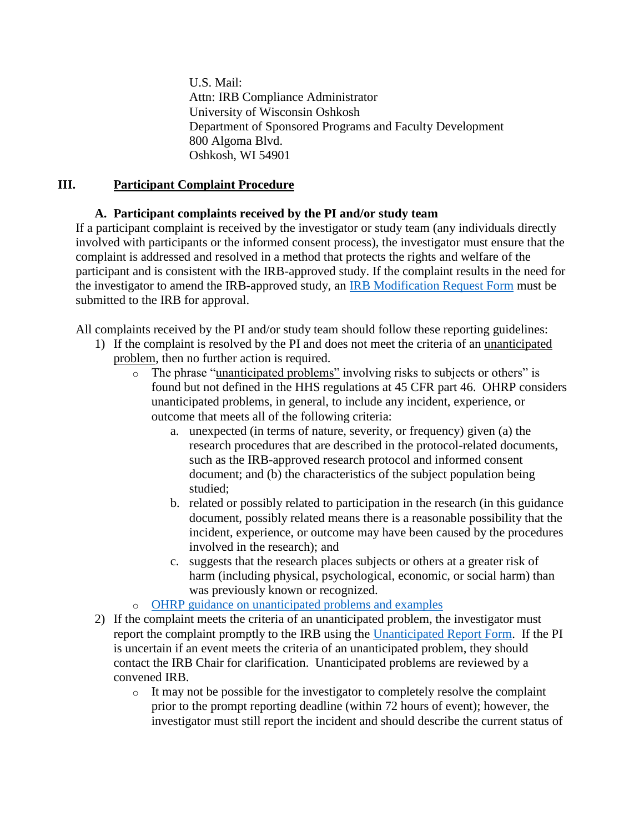U.S. Mail: Attn: IRB Compliance Administrator University of Wisconsin Oshkosh Department of Sponsored Programs and Faculty Development 800 Algoma Blvd. Oshkosh, WI 54901

# **III. Participant Complaint Procedure**

## **A. Participant complaints received by the PI and/or study team**

If a participant complaint is received by the investigator or study team (any individuals directly involved with participants or the informed consent process), the investigator must ensure that the complaint is addressed and resolved in a method that protects the rights and welfare of the participant and is consistent with the IRB-approved study. If the complaint results in the need for the investigator to amend the IRB-approved study, an [IRB Modification Request Form](http://grants.uwosh.edu/sample-page/research-compliance/institutional-review-board-irb/irb-forms/) must be submitted to the IRB for approval.

All complaints received by the PI and/or study team should follow these reporting guidelines:

- 1) If the complaint is resolved by the PI and does not meet the criteria of an unanticipated problem, then no further action is required.
	- o The phrase "unanticipated problems" involving risks to subjects or others" is found but not defined in the HHS regulations at 45 CFR part 46. OHRP considers unanticipated problems, in general, to include any incident, experience, or outcome that meets all of the following criteria:
		- a. unexpected (in terms of nature, severity, or frequency) given (a) the research procedures that are described in the protocol-related documents, such as the IRB-approved research protocol and informed consent document; and (b) the characteristics of the subject population being studied;
		- b. related or possibly related to participation in the research (in this guidance document, possibly related means there is a reasonable possibility that the incident, experience, or outcome may have been caused by the procedures involved in the research); and
		- c. suggests that the research places subjects or others at a greater risk of harm (including physical, psychological, economic, or social harm) than was previously known or recognized.
	- o [OHRP guidance on unanticipated problems and examples](https://www.hhs.gov/ohrp/regulations-and-policy/guidance/reviewing-unanticipated-problems/#Q1)
- 2) If the complaint meets the criteria of an unanticipated problem, the investigator must report the complaint promptly to the IRB using the [Unanticipated Report Form.](http://grants.uwosh.edu/sample-page/research-compliance/institutional-review-board-irb/irb-forms/) If the PI is uncertain if an event meets the criteria of an unanticipated problem, they should contact the IRB Chair for clarification. Unanticipated problems are reviewed by a convened IRB.
	- o It may not be possible for the investigator to completely resolve the complaint prior to the prompt reporting deadline (within 72 hours of event); however, the investigator must still report the incident and should describe the current status of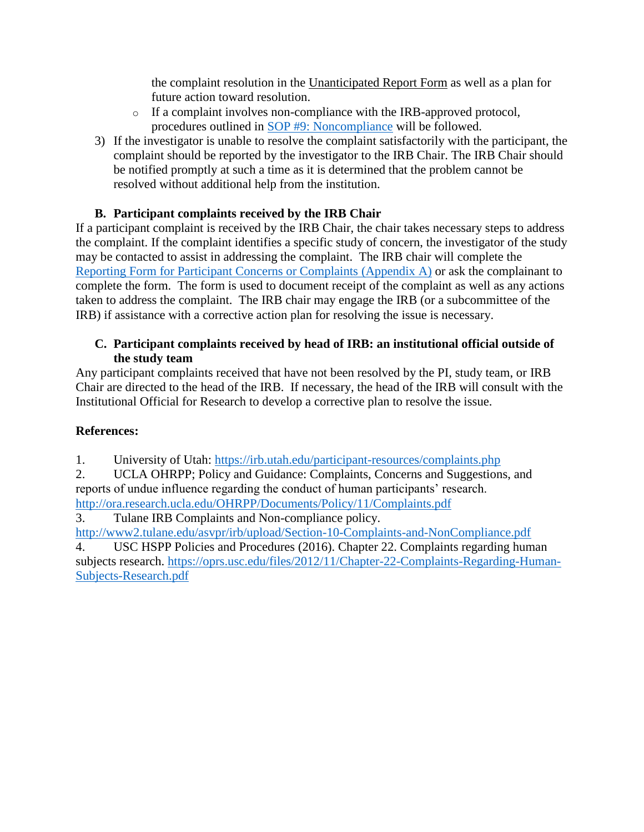the complaint resolution in the Unanticipated Report Form as well as a plan for future action toward resolution.

- o If a complaint involves non-compliance with the IRB-approved protocol, procedures outlined in [SOP #9: Noncompliance](http://grants.uwosh.edu/sample-page/research-compliance/institutional-review-board-irb/irb-sops/) will be followed.
- 3) If the investigator is unable to resolve the complaint satisfactorily with the participant, the complaint should be reported by the investigator to the IRB Chair. The IRB Chair should be notified promptly at such a time as it is determined that the problem cannot be resolved without additional help from the institution.

# **B. Participant complaints received by the IRB Chair**

If a participant complaint is received by the IRB Chair, the chair takes necessary steps to address the complaint. If the complaint identifies a specific study of concern, the investigator of the study may be contacted to assist in addressing the complaint. The IRB chair will complete the [Reporting Form for Participant Concerns or Complaints](http://grants.uwosh.edu/sample-page/research-compliance/institutional-review-board-irb/irb-forms/) (Appendix A) or ask the complainant to complete the form. The form is used to document receipt of the complaint as well as any actions taken to address the complaint. The IRB chair may engage the IRB (or a subcommittee of the IRB) if assistance with a corrective action plan for resolving the issue is necessary.

## **C. Participant complaints received by head of IRB: an institutional official outside of the study team**

Any participant complaints received that have not been resolved by the PI, study team, or IRB Chair are directed to the head of the IRB. If necessary, the head of the IRB will consult with the Institutional Official for Research to develop a corrective plan to resolve the issue.

# **References:**

1. University of Utah:<https://irb.utah.edu/participant-resources/complaints.php>

2. UCLA OHRPP; Policy and Guidance: Complaints, Concerns and Suggestions, and reports of undue influence regarding the conduct of human participants' research. <http://ora.research.ucla.edu/OHRPP/Documents/Policy/11/Complaints.pdf>

3. Tulane IRB Complaints and Non-compliance policy.

<http://www2.tulane.edu/asvpr/irb/upload/Section-10-Complaints-and-NonCompliance.pdf>

4. USC HSPP Policies and Procedures (2016). Chapter 22. Complaints regarding human subjects research. [https://oprs.usc.edu/files/2012/11/Chapter-22-Complaints-Regarding-Human-](https://oprs.usc.edu/files/2012/11/Chapter-22-Complaints-Regarding-Human-Subjects-Research.pdf)[Subjects-Research.pdf](https://oprs.usc.edu/files/2012/11/Chapter-22-Complaints-Regarding-Human-Subjects-Research.pdf)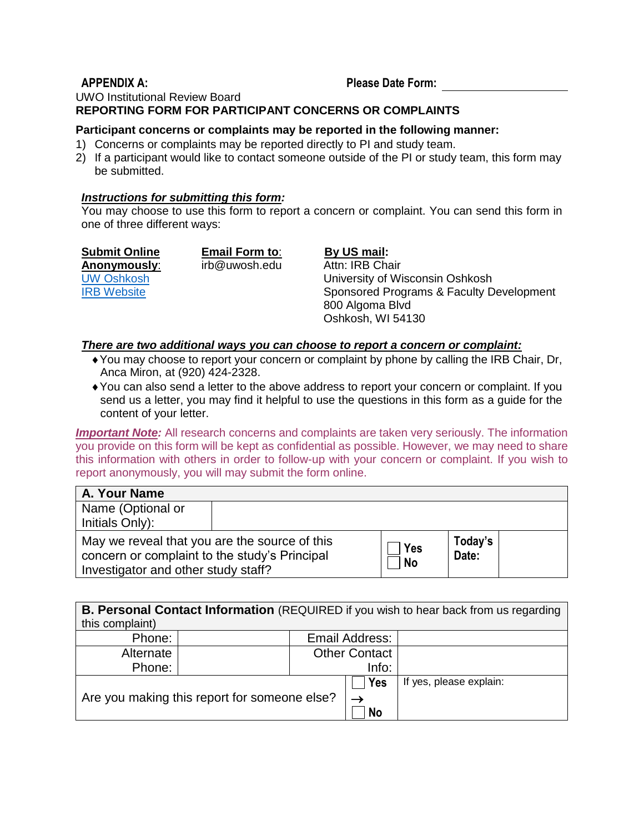#### **APPENDIX A: Please Date Form:** UWO Institutional Review Board **REPORTING FORM FOR PARTICIPANT CONCERNS OR COMPLAINTS**

#### **Participant concerns or complaints may be reported in the following manner:**

- 1) Concerns or complaints may be reported directly to PI and study team.
- 2) If a participant would like to contact someone outside of the PI or study team, this form may be submitted.

#### *Instructions for submitting this form:*

You may choose to use this form to report a concern or complaint. You can send this form in one of three different ways:

**Submit Online Anonymously**: [UW Oshkosh](http://grants.uwosh.edu/sample-page/research-compliance/institutional-review-board-irb/)  [IRB Website](http://grants.uwosh.edu/sample-page/research-compliance/institutional-review-board-irb/)

**Email Form to**: irb@uwosh.edu

### **By US mail:**

Attn: IRB Chair University of Wisconsin Oshkosh Sponsored Programs & Faculty Development 800 Algoma Blvd Oshkosh, WI 54130

#### *There are two additional ways you can choose to report a concern or complaint:*

- You may choose to report your concern or complaint by phone by calling the IRB Chair, Dr, Anca Miron, at (920) 424-2328.
- You can also send a letter to the above address to report your concern or complaint. If you send us a letter, you may find it helpful to use the questions in this form as a guide for the content of your letter.

**Important Note:** All research concerns and complaints are taken very seriously. The information you provide on this form will be kept as confidential as possible. However, we may need to share this information with others in order to follow-up with your concern or complaint. If you wish to report anonymously, you will may submit the form online.

| A. Your Name                                                                                   |           |                  |  |
|------------------------------------------------------------------------------------------------|-----------|------------------|--|
| Name (Optional or                                                                              |           |                  |  |
| Initials Only):                                                                                |           |                  |  |
| May we reveal that you are the source of this<br>concern or complaint to the study's Principal | Yes<br>No | Today's<br>Date: |  |
| Investigator and other study staff?                                                            |           |                  |  |

| B. Personal Contact Information (REQUIRED if you wish to hear back from us regarding |  |                      |                         |
|--------------------------------------------------------------------------------------|--|----------------------|-------------------------|
| this complaint)                                                                      |  |                      |                         |
| Phone:                                                                               |  | Email Address:       |                         |
| Alternate                                                                            |  | <b>Other Contact</b> |                         |
| Phone:                                                                               |  | Info:                |                         |
|                                                                                      |  | Yes                  | If yes, please explain: |
| Are you making this report for someone else?                                         |  |                      |                         |
|                                                                                      |  | <b>No</b>            |                         |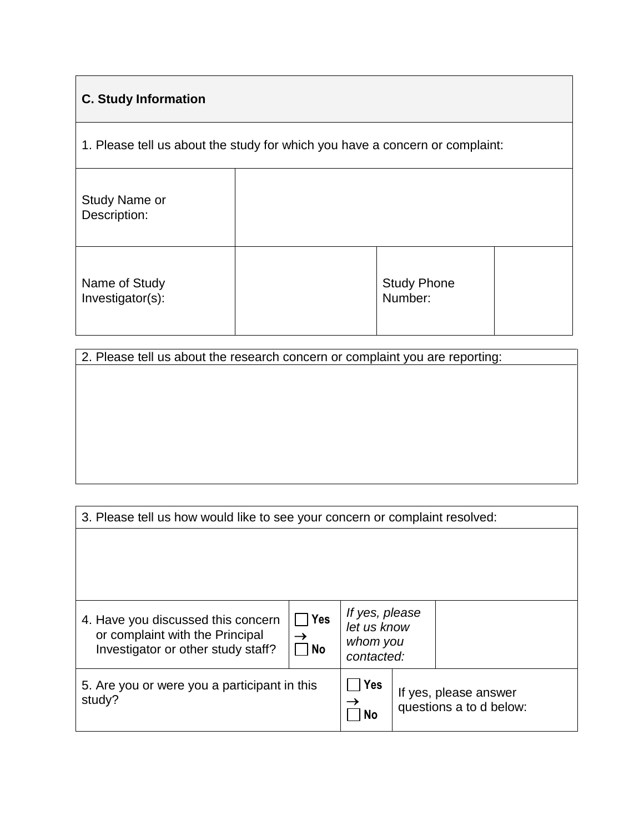| <b>C. Study Information</b>                                                  |  |                               |  |  |  |
|------------------------------------------------------------------------------|--|-------------------------------|--|--|--|
| 1. Please tell us about the study for which you have a concern or complaint: |  |                               |  |  |  |
| Study Name or<br>Description:                                                |  |                               |  |  |  |
| Name of Study<br>Investigator(s):                                            |  | <b>Study Phone</b><br>Number: |  |  |  |

| 2. Please tell us about the research concern or complaint you are reporting: |  |  |  |
|------------------------------------------------------------------------------|--|--|--|
|                                                                              |  |  |  |
|                                                                              |  |  |  |
|                                                                              |  |  |  |
|                                                                              |  |  |  |
|                                                                              |  |  |  |

| 3. Please tell us how would like to see your concern or complaint resolved:                                 |                         |                                                         |  |                                                  |
|-------------------------------------------------------------------------------------------------------------|-------------------------|---------------------------------------------------------|--|--------------------------------------------------|
|                                                                                                             |                         |                                                         |  |                                                  |
| 4. Have you discussed this concern<br>or complaint with the Principal<br>Investigator or other study staff? | <b>Nes</b><br><b>No</b> | If yes, please<br>let us know<br>whom you<br>contacted: |  |                                                  |
| 5. Are you or were you a participant in this<br>study?                                                      |                         | Yes<br><b>No</b>                                        |  | If yes, please answer<br>questions a to d below: |